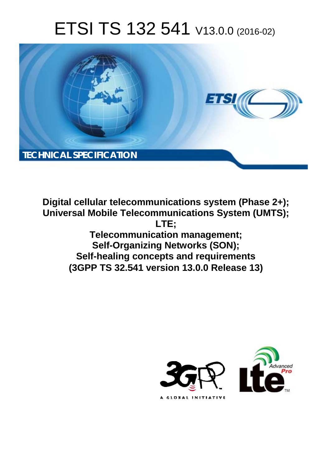# ETSI TS 132 541 V13.0.0 (2016-02)



**Digital cellular telecommunications system (Phase 2+); Universal Mobile Tel elecommunications System ( (UMTS); Telecomm munication management; Self-Orga ganizing Networks (SON); Self-healing c g concepts and requirements (3GPP TS 32.5 .541 version 13.0.0 Release 13 ts 13) LTE;** 

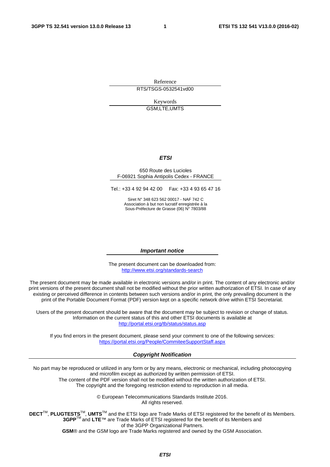Reference RTS/TSGS-0532541vd00

> Keywords GSM,LTE,UMTS

#### *ETSI*

#### 650 Route des Lucioles F-06921 Sophia Antipolis Cedex - FRANCE

Tel.: +33 4 92 94 42 00 Fax: +33 4 93 65 47 16

Siret N° 348 623 562 00017 - NAF 742 C Association à but non lucratif enregistrée à la Sous-Préfecture de Grasse (06) N° 7803/88

#### *Important notice*

The present document can be downloaded from: <http://www.etsi.org/standards-search>

The present document may be made available in electronic versions and/or in print. The content of any electronic and/or print versions of the present document shall not be modified without the prior written authorization of ETSI. In case of any existing or perceived difference in contents between such versions and/or in print, the only prevailing document is the print of the Portable Document Format (PDF) version kept on a specific network drive within ETSI Secretariat.

Users of the present document should be aware that the document may be subject to revision or change of status. Information on the current status of this and other ETSI documents is available at <http://portal.etsi.org/tb/status/status.asp>

If you find errors in the present document, please send your comment to one of the following services: <https://portal.etsi.org/People/CommiteeSupportStaff.aspx>

#### *Copyright Notification*

No part may be reproduced or utilized in any form or by any means, electronic or mechanical, including photocopying and microfilm except as authorized by written permission of ETSI.

The content of the PDF version shall not be modified without the written authorization of ETSI. The copyright and the foregoing restriction extend to reproduction in all media.

> © European Telecommunications Standards Institute 2016. All rights reserved.

**DECT**TM, **PLUGTESTS**TM, **UMTS**TM and the ETSI logo are Trade Marks of ETSI registered for the benefit of its Members. **3GPP**TM and **LTE**™ are Trade Marks of ETSI registered for the benefit of its Members and of the 3GPP Organizational Partners.

**GSM**® and the GSM logo are Trade Marks registered and owned by the GSM Association.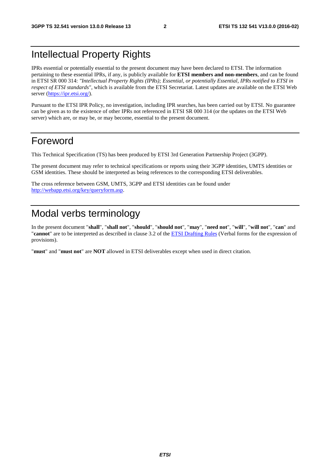# Intellectual Property Rights

IPRs essential or potentially essential to the present document may have been declared to ETSI. The information pertaining to these essential IPRs, if any, is publicly available for **ETSI members and non-members**, and can be found in ETSI SR 000 314: *"Intellectual Property Rights (IPRs); Essential, or potentially Essential, IPRs notified to ETSI in respect of ETSI standards"*, which is available from the ETSI Secretariat. Latest updates are available on the ETSI Web server ([https://ipr.etsi.org/\)](https://ipr.etsi.org/).

Pursuant to the ETSI IPR Policy, no investigation, including IPR searches, has been carried out by ETSI. No guarantee can be given as to the existence of other IPRs not referenced in ETSI SR 000 314 (or the updates on the ETSI Web server) which are, or may be, or may become, essential to the present document.

# Foreword

This Technical Specification (TS) has been produced by ETSI 3rd Generation Partnership Project (3GPP).

The present document may refer to technical specifications or reports using their 3GPP identities, UMTS identities or GSM identities. These should be interpreted as being references to the corresponding ETSI deliverables.

The cross reference between GSM, UMTS, 3GPP and ETSI identities can be found under [http://webapp.etsi.org/key/queryform.asp.](http://webapp.etsi.org/key/queryform.asp)

# Modal verbs terminology

In the present document "**shall**", "**shall not**", "**should**", "**should not**", "**may**", "**need not**", "**will**", "**will not**", "**can**" and "**cannot**" are to be interpreted as described in clause 3.2 of the [ETSI Drafting Rules](http://portal.etsi.org/Help/editHelp!/Howtostart/ETSIDraftingRules.aspx) (Verbal forms for the expression of provisions).

"**must**" and "**must not**" are **NOT** allowed in ETSI deliverables except when used in direct citation.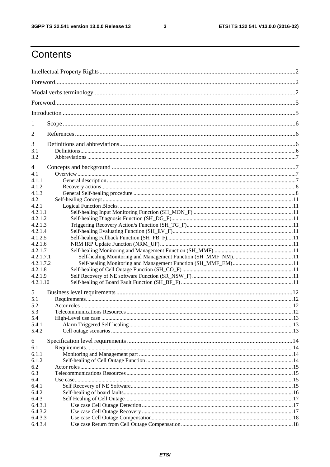$\mathbf{3}$ 

# Contents

| 1         |  |  |  |  |
|-----------|--|--|--|--|
| 2         |  |  |  |  |
| 3         |  |  |  |  |
|           |  |  |  |  |
| 3.1       |  |  |  |  |
| 3.2       |  |  |  |  |
| 4         |  |  |  |  |
| 4.1       |  |  |  |  |
| 4.1.1     |  |  |  |  |
| 4.1.2     |  |  |  |  |
| 4.1.3     |  |  |  |  |
| 4.2       |  |  |  |  |
| 4.2.1     |  |  |  |  |
|           |  |  |  |  |
| 4.2.1.1   |  |  |  |  |
| 4.2.1.2   |  |  |  |  |
| 4.2.1.3   |  |  |  |  |
| 4.2.1.4   |  |  |  |  |
| 4.1.2.5   |  |  |  |  |
| 4.2.1.6   |  |  |  |  |
| 4.2.1.7   |  |  |  |  |
| 4.2.1.7.1 |  |  |  |  |
| 4.2.1.7.2 |  |  |  |  |
| 4.2.1.8   |  |  |  |  |
| 4.2.1.9   |  |  |  |  |
| 4.2.1.10  |  |  |  |  |
| 5         |  |  |  |  |
| 5.1       |  |  |  |  |
|           |  |  |  |  |
| 5.2       |  |  |  |  |
| 5.3       |  |  |  |  |
| 5.4       |  |  |  |  |
| 5.4.1     |  |  |  |  |
| 5.4.2     |  |  |  |  |
| 6         |  |  |  |  |
| 6.1       |  |  |  |  |
| 6.1.1     |  |  |  |  |
|           |  |  |  |  |
| 6.1.2     |  |  |  |  |
| 6.2       |  |  |  |  |
| 6.3       |  |  |  |  |
| 6.4       |  |  |  |  |
| 6.4.1     |  |  |  |  |
| 6.4.2     |  |  |  |  |
| 6.4.3     |  |  |  |  |
| 6.4.3.1   |  |  |  |  |
| 6.4.3.2   |  |  |  |  |
| 6.4.3.3   |  |  |  |  |
| 6.4.3.4   |  |  |  |  |
|           |  |  |  |  |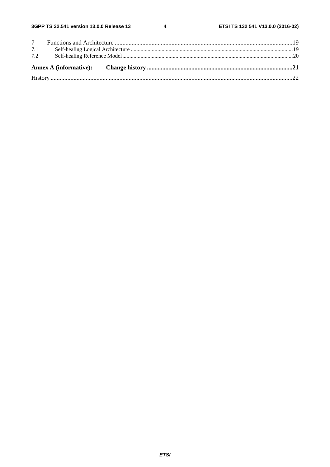| 7.1 |  |  |
|-----|--|--|
| 7.2 |  |  |
|     |  |  |
|     |  |  |
|     |  |  |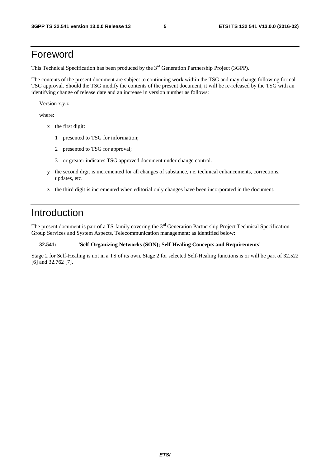# Foreword

This Technical Specification has been produced by the 3<sup>rd</sup> Generation Partnership Project (3GPP).

The contents of the present document are subject to continuing work within the TSG and may change following formal TSG approval. Should the TSG modify the contents of the present document, it will be re-released by the TSG with an identifying change of release date and an increase in version number as follows:

Version x.y.z

where:

- x the first digit:
	- 1 presented to TSG for information;
	- 2 presented to TSG for approval;
	- 3 or greater indicates TSG approved document under change control.
- y the second digit is incremented for all changes of substance, i.e. technical enhancements, corrections, updates, etc.
- z the third digit is incremented when editorial only changes have been incorporated in the document.

# Introduction

The present document is part of a TS-family covering the 3<sup>rd</sup> Generation Partnership Project Technical Specification Group Services and System Aspects, Telecommunication management; as identified below:

#### **32.541: 'Self-Organizing Networks (SON); Self-Healing Concepts and Requirements'**

Stage 2 for Self-Healing is not in a TS of its own. Stage 2 for selected Self-Healing functions is or will be part of 32.522 [6] and 32.762 [7].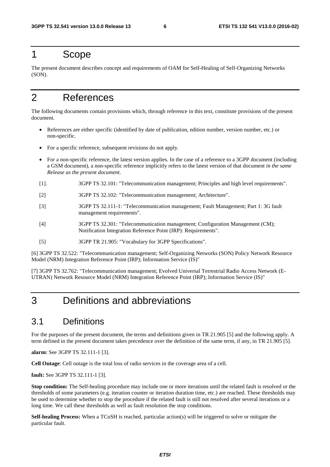### 1 Scope

The present document describes concept and requirements of OAM for Self-Healing of Self-Organizing Networks (SON).

# 2 References

The following documents contain provisions which, through reference in this text, constitute provisions of the present document.

- References are either specific (identified by date of publication, edition number, version number, etc.) or non-specific.
- For a specific reference, subsequent revisions do not apply.
- For a non-specific reference, the latest version applies. In the case of a reference to a 3GPP document (including a GSM document), a non-specific reference implicitly refers to the latest version of that document *in the same Release as the present document*.
- [1]. 3GPP TS 32.101: "Telecommunication management; Principles and high level requirements".
- [2] 3GPP TS 32.102: "Telecommunication management; Architecture".
- [3] 3GPP TS 32.111-1: "Telecommunication management; Fault Management; Part 1: 3G fault management requirements".
- [4] 3GPP TS 32.301: "Telecommunication management; Configuration Management (CM); Notification Integration Reference Point (IRP): Requirements".
- [5] 3GPP TR 21.905: "Vocabulary for 3GPP Specifications".

[6] 3GPP TS 32.522: "Telecommunication management; Self-Organizing Networks (SON) Policy Network Resource Model (NRM) Integration Reference Point (IRP); Information Service (IS)"

[7] 3GPP TS 32.762: "Telecommunication management; Evolved Universal Terrestrial Radio Access Network (E-UTRAN) Network Resource Model (NRM) Integration Reference Point (IRP); Information Service (IS)"

# 3 Definitions and abbreviations

### 3.1 Definitions

For the purposes of the present document, the terms and definitions given in TR 21.905 [5] and the following apply. A term defined in the present document takes precedence over the definition of the same term, if any, in TR 21.905 [5].

**alarm:** See 3GPP TS 32.111-1 [3].

**Cell Outage**: Cell outage is the total loss of radio services in the coverage area of a cell.

**fault:** See 3GPP TS 32.111-1 [3].

**Stop condition:** The Self-healing procedure may include one or more iterations until the related fault is resolved or the thresholds of some parameters (e.g. iteration counter or iteration duration time, etc.) are reached. These thresholds may be used to determine whether to stop the procedure if the related fault is still not resolved after several iterations or a long time. We call these thresholds as well as fault resolution the stop conditions.

**Self-healing Process:** When a TCoSH is reached, particular action(s) will be triggered to solve or mitigate the particular fault.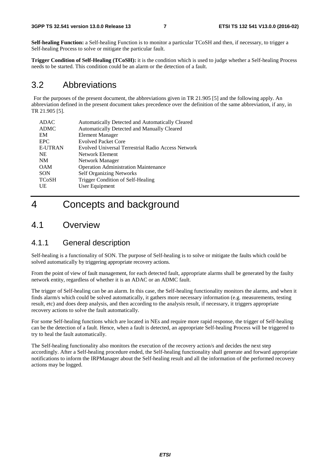**Self-healing Function:** a Self-healing Function is to monitor a particular TCoSH and then, if necessary, to trigger a Self-healing Process to solve or mitigate the particular fault.

**Trigger Condition of Self-Healing (TCoSH):** it is the condition which is used to judge whether a Self-healing Process needs to be started. This condition could be an alarm or the detection of a fault.

### 3.2 Abbreviations

 For the purposes of the present document, the abbreviations given in TR 21.905 [5] and the following apply. An abbreviation defined in the present document takes precedence over the definition of the same abbreviation, if any, in TR 21.905 [5].

| ADAC           | Automatically Detected and Automatically Cleared   |
|----------------|----------------------------------------------------|
| <b>ADMC</b>    | Automatically Detected and Manually Cleared        |
| EM             | <b>Element Manager</b>                             |
| <b>EPC</b>     | <b>Evolved Packet Core</b>                         |
| <b>E-UTRAN</b> | Evolved Universal Terrestrial Radio Access Network |
| <b>NE</b>      | Network Element                                    |
| <b>NM</b>      | Network Manager                                    |
| <b>OAM</b>     | <b>Operation Administration Maintenance</b>        |
| <b>SON</b>     | <b>Self Organizing Networks</b>                    |
| <b>TCoSH</b>   | Trigger Condition of Self-Healing                  |
| UE             | User Equipment                                     |
|                |                                                    |

# 4 Concepts and background

### 4.1 Overview

#### 4.1.1 General description

Self-healing is a functionality of SON. The purpose of Self-healing is to solve or mitigate the faults which could be solved automatically by triggering appropriate recovery actions.

From the point of view of fault management, for each detected fault, appropriate alarms shall be generated by the faulty network entity, regardless of whether it is an ADAC or an ADMC fault.

The trigger of Self-healing can be an alarm. In this case, the Self-healing functionality monitors the alarms, and when it finds alarm/s which could be solved automatically, it gathers more necessary information (e.g. measurements, testing result, etc) and does deep analysis, and then according to the analysis result, if necessary, it triggers appropriate recovery actions to solve the fault automatically.

For some Self-healing functions which are located in NEs and require more rapid response, the trigger of Self-healing can be the detection of a fault. Hence, when a fault is detected, an appropriate Self-healing Process will be triggered to try to heal the fault automatically.

The Self-healing functionality also monitors the execution of the recovery action/s and decides the next step accordingly. After a Self-healing procedure ended, the Self-healing functionality shall generate and forward appropriate notifications to inform the IRPManager about the Self-healing result and all the information of the performed recovery actions may be logged.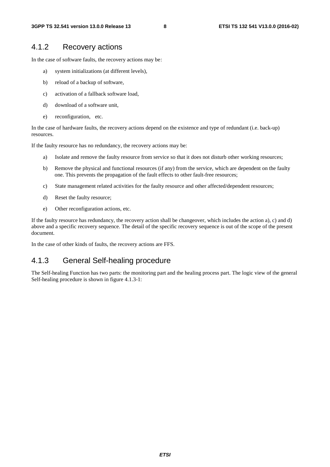### 4.1.2 Recovery actions

In the case of software faults, the recovery actions may be:

- a) system initializations (at different levels),
- b) reload of a backup of software,
- c) activation of a fallback software load,
- d) download of a software unit,
- e) reconfiguration, etc.

In the case of hardware faults, the recovery actions depend on the existence and type of redundant (i.e. back-up) resources.

If the faulty resource has no redundancy, the recovery actions may be:

- a) Isolate and remove the faulty resource from service so that it does not disturb other working resources;
- b) Remove the physical and functional resources (if any) from the service, which are dependent on the faulty one. This prevents the propagation of the fault effects to other fault-free resources;
- c) State management related activities for the faulty resource and other affected/dependent resources;
- d) Reset the faulty resource;
- e) Other reconfiguration actions, etc.

If the faulty resource has redundancy, the recovery action shall be changeover, which includes the action a), c) and d) above and a specific recovery sequence. The detail of the specific recovery sequence is out of the scope of the present document.

In the case of other kinds of faults, the recovery actions are FFS.

### 4.1.3 General Self-healing procedure

The Self-healing Function has two parts: the monitoring part and the healing process part. The logic view of the general Self-healing procedure is shown in figure 4.1.3-1: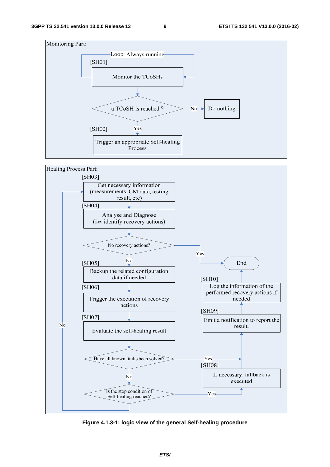



**Figure 4.1.3-1: logic view of the general Self-healing procedure**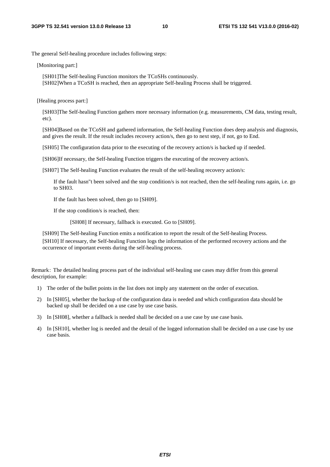The general Self-healing procedure includes following steps:

[Monitoring part:]

[SH01]The Self-healing Function monitors the TCoSHs continuously. [SH02]When a TCoSH is reached, then an appropriate Self-healing Process shall be triggered.

[Healing process part:]

[SH03]The Self-healing Function gathers more necessary information (e.g. measurements, CM data, testing result, etc).

[SH04]Based on the TCoSH and gathered information, the Self-healing Function does deep analysis and diagnosis, and gives the result. If the result includes recovery action/s, then go to next step, if not, go to End.

[SH05] The configuration data prior to the executing of the recovery action/s is backed up if needed.

[SH06]If necessary, the Self-healing Function triggers the executing of the recovery action/s.

[SH07] The Self-healing Function evaluates the result of the self-healing recovery action/s:

If the fault hasn"t been solved and the stop condition/s is not reached, then the self-healing runs again, i.e. go to SH03.

If the fault has been solved, then go to [SH09].

If the stop condition/s is reached, then:

[SH08] If necessary, fallback is executed. Go to [SH09].

[SH09] The Self-healing Function emits a notification to report the result of the Self-healing Process. [SH10] If necessary, the Self-healing Function logs the information of the performed recovery actions and the occurrence of important events during the self-healing process.

Remark: The detailed healing process part of the individual self-healing use cases may differ from this general description, for example:

- 1) The order of the bullet points in the list does not imply any statement on the order of execution.
- 2) In [SH05], whether the backup of the configuration data is needed and which configuration data should be backed up shall be decided on a use case by use case basis.
- 3) In [SH08], whether a fallback is needed shall be decided on a use case by use case basis.
- 4) In [SH10], whether log is needed and the detail of the logged information shall be decided on a use case by use case basis.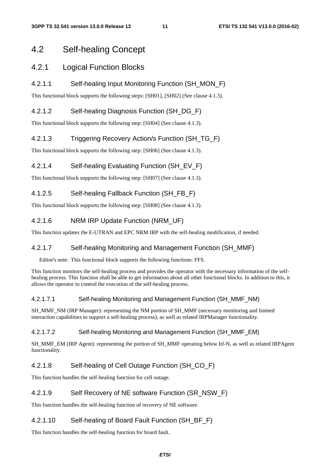### 4.2 Self-healing Concept

### 4.2.1 Logical Function Blocks

#### 4.2.1.1 Self-healing Input Monitoring Function (SH\_MON\_F)

This functional block supports the following steps: [SH01], [SH02] (See clause 4.1.3).

### 4.2.1.2 Self-healing Diagnosis Function (SH\_DG\_F)

This functional block supports the following step: [SH04] (See clause 4.1.3).

### 4.2.1.3 Triggering Recovery Action/s Function (SH\_TG\_F)

This functional block supports the following step: [SH06] (See clause 4.1.3).

### 4.2.1.4 Self-healing Evaluating Function (SH\_EV\_F)

This functional block supports the following step: [SH07] (See clause 4.1.3).

### 4.1.2.5 Self-healing Fallback Function (SH\_FB\_F)

This functional block supports the following step: [SH08] (See clause 4.1.3).

### 4.2.1.6 NRM IRP Update Function (NRM\_UF)

This function updates the E-UTRAN and EPC NRM IRP with the self-healing modification, if needed.

#### 4.2.1.7 Self-healing Monitoring and Management Function (SH\_MMF)

Editor's note: This functional block supports the following functions: FFS.

This function monitors the self-healing process and provides the operator with the necessary information of the selfhealing process. This function shall be able to get information about all other functional blocks. In addition to this, it allows the operator to control the execution of the self-healing process.

#### 4.2.1.7.1 Self-healing Monitoring and Management Function (SH\_MMF\_NM)

SH\_MMF\_NM (IRP Manager): representing the NM portion of SH\_MMF (necessary monitoring and limited interaction capabilities to support a self-healing process), as well as related IRPManager functionality.

#### 4.2.1.7.2 Self-healing Monitoring and Management Function (SH\_MMF\_EM)

SH\_MMF\_EM (IRP Agent): representing the portion of SH\_MMF operating below Itf-N, as well as related IRPAgent functionality.

### 4.2.1.8 Self-healing of Cell Outage Function (SH\_CO\_F)

This function handles the self-healing function for cell outage.

#### 4.2.1.9 Self Recovery of NE software Function (SR\_NSW\_F)

This function handles the self-healing function of recovery of NE software.

#### 4.2.1.10 Self-healing of Board Fault Function (SH\_BF\_F)

This function handles the self-healing function for board fault.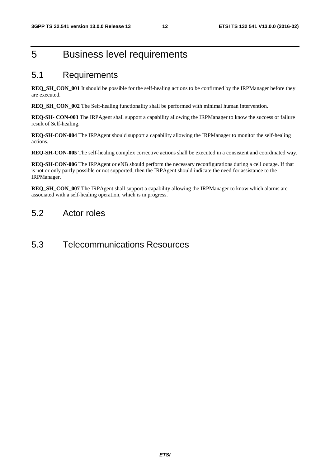# 5 Business level requirements

### 5.1 Requirements

**REQ\_SH\_CON\_001** It should be possible for the self-healing actions to be confirmed by the IRPManager before they are executed.

**REQ\_SH\_CON\_002** The Self-healing functionality shall be performed with minimal human intervention.

**REQ-SH- CON-003** The IRPAgent shall support a capability allowing the IRPManager to know the success or failure result of Self-healing.

**REQ-SH-CON-004** The IRPAgent should support a capability allowing the IRPManager to monitor the self-healing actions.

**REQ-SH-CON-005** The self-healing complex corrective actions shall be executed in a consistent and coordinated way.

**REQ-SH-CON-006** The IRPAgent or eNB should perform the necessary reconfigurations during a cell outage. If that is not or only partly possible or not supported, then the IRPAgent should indicate the need for assistance to the IRPManager.

**REQ\_SH\_CON\_007** The IRPAgent shall support a capability allowing the IRPManager to know which alarms are associated with a self-healing operation, which is in progress.

### 5.2 Actor roles

### 5.3 Telecommunications Resources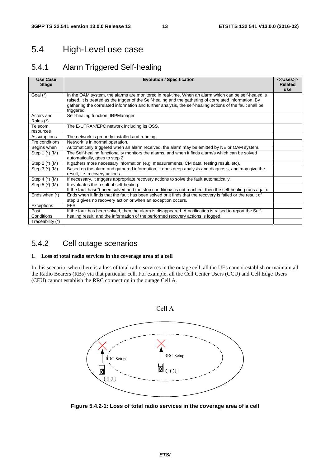# 5.4 High-Level use case

### 5.4.1 Alarm Triggered Self-healing

| Use Case<br><b>Stage</b>                                                                                              | <b>Evolution / Specification</b><br>< <uses>&gt;</uses>                                                    |  |  |  |  |
|-----------------------------------------------------------------------------------------------------------------------|------------------------------------------------------------------------------------------------------------|--|--|--|--|
| Goal $(*)$                                                                                                            | In the OAM system, the alarms are monitored in real-time. When an alarm which can be self-healed is        |  |  |  |  |
|                                                                                                                       | raised, it is treated as the trigger of the Self-healing and the gathering of correlated information. By   |  |  |  |  |
|                                                                                                                       | gathering the correlated information and further analysis, the self-healing actions of the fault shall be  |  |  |  |  |
|                                                                                                                       | triggered.                                                                                                 |  |  |  |  |
| Actors and                                                                                                            | Self-healing function, IRPManager                                                                          |  |  |  |  |
| Roles (*)                                                                                                             |                                                                                                            |  |  |  |  |
| Telecom                                                                                                               | The E-UTRAN/EPC network including its OSS.                                                                 |  |  |  |  |
| resources                                                                                                             |                                                                                                            |  |  |  |  |
| Assumptions                                                                                                           | The network is properly installed and running.                                                             |  |  |  |  |
| Pre conditions                                                                                                        | Network is in normal operation.                                                                            |  |  |  |  |
| Begins when                                                                                                           | Automatically triggered when an alarm received, the alarm may be emitted by NE or OAM system.              |  |  |  |  |
| The Self-healing functionality monitors the alarms, and when it finds alarm/s which can be solved<br>Step 1 $(*)$ (M) |                                                                                                            |  |  |  |  |
|                                                                                                                       | automatically, goes to step 2.                                                                             |  |  |  |  |
| Step $2$ $(*)$ $(M)$                                                                                                  | It gathers more necessary information (e.g. measurements, CM data, testing result, etc).                   |  |  |  |  |
| Step $3$ ( $^{*}$ ) (M)                                                                                               | Based on the alarm and gathered information, it does deep analysis and diagnosis, and may give the         |  |  |  |  |
|                                                                                                                       | result, i.e. recovery actions.                                                                             |  |  |  |  |
| Step 4 (*) (M)                                                                                                        | If necessary, it triggers appropriate recovery actions to solve the fault automatically.                   |  |  |  |  |
| Step $5$ $(*)$ $(M)$                                                                                                  | It evaluates the result of self-healing:                                                                   |  |  |  |  |
|                                                                                                                       | If the fault hasn"t been solved and the stop condition/s is not reached, then the self-healing runs again. |  |  |  |  |
| Ends when (*)                                                                                                         | Ends when it finds that the fault has been solved or it finds that the recovery is failed or the result of |  |  |  |  |
|                                                                                                                       | step 3 gives no recovery action or when an exception occurs.                                               |  |  |  |  |
| Exceptions                                                                                                            | FFS.                                                                                                       |  |  |  |  |
| Post                                                                                                                  | If the fault has been solved, then the alarm is disappeared. A notification is raised to report the Self-  |  |  |  |  |
| Conditions                                                                                                            | healing result, and the information of the performed recovery actions is logged.                           |  |  |  |  |
| Traceability (*)                                                                                                      |                                                                                                            |  |  |  |  |

### 5.4.2 Cell outage scenarios

#### **1. Loss of total radio services in the coverage area of a cell**

In this scenario, when there is a loss of total radio services in the outage cell, all the UEs cannot establish or maintain all the Radio Bearers (RBs) via that particular cell. For example, all the Cell Center Users (CCU) and Cell Edge Users (CEU) cannot establish the RRC connection in the outage Cell A.



**Figure 5.4.2-1: Loss of total radio services in the coverage area of a cell**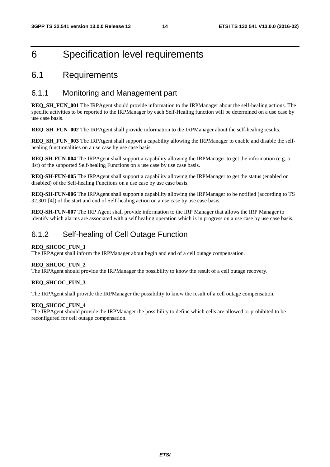# 6 Specification level requirements

### 6.1 Requirements

### 6.1.1 Monitoring and Management part

**REQ\_SH\_FUN\_001** The IRPAgent should provide information to the IRPManager about the self-healing actions. The specific activities to be reported to the IRPManager by each Self-Healing function will be determined on a use case by use case basis.

**REQ\_SH\_FUN\_002** The IRPAgent shall provide information to the IRPManager about the self-healing results.

**REQ\_SH\_FUN\_003** The IRPAgent shall support a capability allowing the IRPManager to enable and disable the selfhealing functionalities on a use case by use case basis.

**REQ-SH-FUN-004** The IRPAgent shall support a capability allowing the IRPManager to get the information (e.g. a list) of the supported Self-healing Functions on a use case by use case basis.

**REQ-SH-FUN-005** The IRPAgent shall support a capability allowing the IRPManager to get the status (enabled or disabled) of the Self-healing Functions on a use case by use case basis.

**REQ-SH-FUN-006** The IRPAgent shall support a capability allowing the IRPManager to be notified (according to TS 32.301 [4]) of the start and end of Self-healing action on a use case by use case basis.

**REQ-SH-FUN-007** The IRP Agent shall provide information to the IRP Manager that allows the IRP Manager to identify which alarms are associated with a self healing operation which is in progress on a use case by use case basis.

### 6.1.2 Self-healing of Cell Outage Function

#### **REQ\_SHCOC\_FUN\_1**

The IRPAgent shall inform the IRPManager about begin and end of a cell outage compensation.

#### **REQ\_SHCOC\_FUN\_2**

The IRPAgent should provide the IRPManager the possibility to know the result of a cell outage recovery.

#### **REQ\_SHCOC\_FUN\_3**

The IRPAgent shall provide the IRPManager the possibility to know the result of a cell outage compensation.

#### **REQ\_SHCOC\_FUN\_4**

The IRPAgent should provide the IRPManager the possibility to define which cells are allowed or prohibited to be reconfigured for cell outage compensation.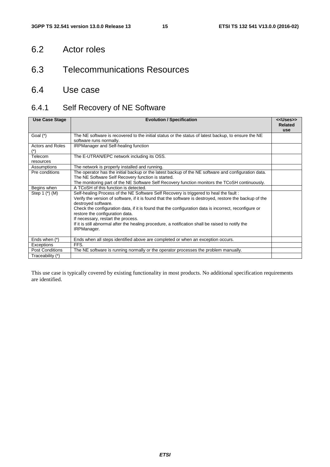# 6.2 Actor roles

# 6.3 Telecommunications Resources

# 6.4 Use case

# 6.4.1 Self Recovery of NE Software

| <b>Use Case Stage</b>   | <b>Evolution / Specification</b>                                                                                                | < <uses>&gt;<br/><b>Related</b></uses> |
|-------------------------|---------------------------------------------------------------------------------------------------------------------------------|----------------------------------------|
|                         |                                                                                                                                 | <b>use</b>                             |
| Goal $(*)$              | The NE software is recovered to the initial status or the status of latest backup, to ensure the NE                             |                                        |
|                         | software runs normally.                                                                                                         |                                        |
| <b>Actors and Roles</b> | <b>IRPManager and Self-healing function</b>                                                                                     |                                        |
|                         |                                                                                                                                 |                                        |
| Telecom                 | The E-UTRAN/EPC network including its OSS.                                                                                      |                                        |
| resources               |                                                                                                                                 |                                        |
| Assumptions             | The network is properly installed and running.                                                                                  |                                        |
| Pre conditions          | The operator has the initial backup or the latest backup of the NE software and configuration data.                             |                                        |
|                         | The NE Software Self Recovery function is started.                                                                              |                                        |
|                         | The monitoring part of the NE Software Self Recovery function monitors the TCoSH continuously.                                  |                                        |
| Begins when             | A TCoSH of this function is detected.                                                                                           |                                        |
| Step 1 (*) (M)          | Self-healing Process of the NE Software Self Recovery is triggered to heal the fault:                                           |                                        |
|                         | Verify the version of software, if it is found that the software is destroyed, restore the backup of the<br>destroyed software. |                                        |
|                         | Check the configuration data, if it is found that the configuration data is incorrect, reconfigure or                           |                                        |
|                         | restore the configuration data.                                                                                                 |                                        |
|                         | If necessary, restart the process.                                                                                              |                                        |
|                         | If it is still abnormal after the healing procedure, a notification shall be raised to notify the                               |                                        |
|                         | IRPManager.                                                                                                                     |                                        |
|                         |                                                                                                                                 |                                        |
| Ends when (*)           | Ends when all steps identified above are completed or when an exception occurs.                                                 |                                        |
| Exceptions              | FFS.                                                                                                                            |                                        |
| <b>Post Conditions</b>  | The NE software is running normally or the operator processes the problem manually.                                             |                                        |
| Traceability (*)        |                                                                                                                                 |                                        |

This use case is typically covered by existing functionality in most products. No additional specification requirements are identified.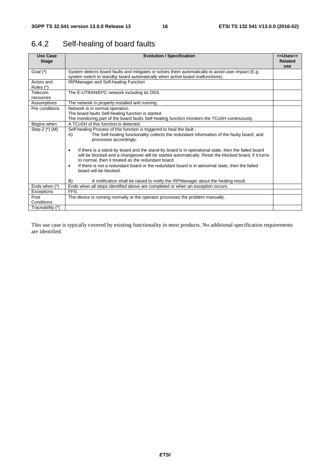# 6.4.2 Self-healing of board faults

| <b>Use Case</b><br><b>Stage</b> | <b>Evolution / Specification</b>                                                                                                                                                                                | < <uses>&gt;<br/><b>Related</b></uses> |  |  |  |  |  |
|---------------------------------|-----------------------------------------------------------------------------------------------------------------------------------------------------------------------------------------------------------------|----------------------------------------|--|--|--|--|--|
|                                 |                                                                                                                                                                                                                 | use                                    |  |  |  |  |  |
| Goal $(*)$                      | System detects board faults and mitigates or solves them automatically to avoid user impact (E.g.                                                                                                               |                                        |  |  |  |  |  |
|                                 | system switch to standby board automatically when active board malfunctions).                                                                                                                                   |                                        |  |  |  |  |  |
| Actors and                      | <b>IRPManager and Self-healing Function</b>                                                                                                                                                                     |                                        |  |  |  |  |  |
| Roles (*)                       |                                                                                                                                                                                                                 |                                        |  |  |  |  |  |
| Telecom                         | The E-UTRAN/EPC network including its OSS.                                                                                                                                                                      |                                        |  |  |  |  |  |
| resources                       |                                                                                                                                                                                                                 |                                        |  |  |  |  |  |
| Assumptions                     | The network is properly installed and running.                                                                                                                                                                  |                                        |  |  |  |  |  |
| Pre conditions                  | Network is in normal operation.                                                                                                                                                                                 |                                        |  |  |  |  |  |
|                                 | The board faults Self-healing function is started.                                                                                                                                                              |                                        |  |  |  |  |  |
|                                 | The monitoring part of the board faults Self-healing function monitors the TCoSH continuously.                                                                                                                  |                                        |  |  |  |  |  |
| Begins when                     | A TCoSH of this function is detected.                                                                                                                                                                           |                                        |  |  |  |  |  |
| Step $2$ ( $*)$ (M)             | Self-healing Process of this function is triggered to heal the fault:                                                                                                                                           |                                        |  |  |  |  |  |
|                                 | The Self-healing functionality collects the redundant information of the faulty board, and<br>A)<br>processes accordingly:                                                                                      |                                        |  |  |  |  |  |
|                                 | If there is a stand-by board and the stand-by board is in operational state, then the failed board<br>٠<br>will be blocked and a changeover will be started automatically. Reset the blocked board, if it turns |                                        |  |  |  |  |  |
|                                 | to normal, then it treated as the redundant board.                                                                                                                                                              |                                        |  |  |  |  |  |
|                                 | If there is not a redundant board or the redundant board is in abnormal state, then the failed<br>$\bullet$<br>board will be blocked.                                                                           |                                        |  |  |  |  |  |
|                                 | B)<br>A notification shall be raised to notify the IRPManager about the healing result.                                                                                                                         |                                        |  |  |  |  |  |
| Ends when (*)                   | Ends when all steps identified above are completed or when an exception occurs.                                                                                                                                 |                                        |  |  |  |  |  |
| Exceptions                      | FFS.                                                                                                                                                                                                            |                                        |  |  |  |  |  |
| Post                            | The device is running normally or the operator processes the problem manually.                                                                                                                                  |                                        |  |  |  |  |  |
| Conditions                      |                                                                                                                                                                                                                 |                                        |  |  |  |  |  |
| Traceability (*)                |                                                                                                                                                                                                                 |                                        |  |  |  |  |  |

This use case is typically covered by existing functionality in most products. No additional specification requirements are identified.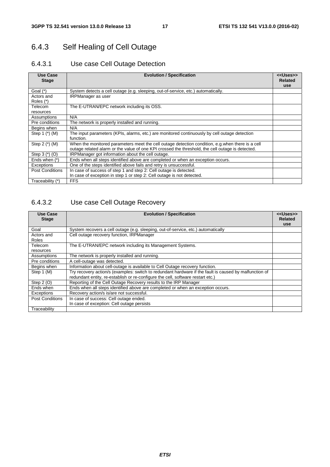# 6.4.3 Self Healing of Cell Outage

### 6.4.3.1 Use case Cell Outage Detection

| Use Case<br><b>Stage</b>                                                         | <b>Evolution / Specification</b>                                                                                                                                                                      |  |  |  |  |  |
|----------------------------------------------------------------------------------|-------------------------------------------------------------------------------------------------------------------------------------------------------------------------------------------------------|--|--|--|--|--|
| Goal $(*)$                                                                       | System detects a cell outage (e.g. sleeping, out-of-service, etc.) automatically.                                                                                                                     |  |  |  |  |  |
| Actors and<br>Roles $(*)$                                                        | <b>IRPManager</b> as user                                                                                                                                                                             |  |  |  |  |  |
| Telecom                                                                          | The E-UTRAN/EPC network including its OSS.                                                                                                                                                            |  |  |  |  |  |
| resources                                                                        |                                                                                                                                                                                                       |  |  |  |  |  |
| Assumptions                                                                      | N/A                                                                                                                                                                                                   |  |  |  |  |  |
| Pre conditions<br>The network is properly installed and running.                 |                                                                                                                                                                                                       |  |  |  |  |  |
| Begins when                                                                      | N/A                                                                                                                                                                                                   |  |  |  |  |  |
| Step 1 $(*)$ (M)                                                                 | The input parameters (KPIs, alarms, etc.) are monitored continuously by cell outage detection<br>function.                                                                                            |  |  |  |  |  |
| Step $2$ ( $*)$ (M)                                                              | When the monitored parameters meet the cell outage detection condition, e.g. when there is a cell<br>outage related alarm or the value of one KPI crossed the threshold, the cell outage is detected. |  |  |  |  |  |
| Step $3(*)$ (O)                                                                  | IRPManager got information about the cell outage.                                                                                                                                                     |  |  |  |  |  |
| Ends when (*)                                                                    | Ends when all steps identified above are completed or when an exception occurs.                                                                                                                       |  |  |  |  |  |
| One of the steps identified above fails and retry is unsuccessful.<br>Exceptions |                                                                                                                                                                                                       |  |  |  |  |  |
| <b>Post Conditions</b>                                                           | In case of success of step 1 and step 2: Cell outage is detected.                                                                                                                                     |  |  |  |  |  |
|                                                                                  | In case of exception in step 1 or step 2: Cell outage is not detected.                                                                                                                                |  |  |  |  |  |
| Traceability (*)                                                                 | <b>FFS</b>                                                                                                                                                                                            |  |  |  |  |  |

### 6.4.3.2 Use case Cell Outage Recovery

| <b>Use Case</b><br><b>Stage</b>                                                             | <b>Evolution / Specification</b>                                                                                                                                                          |  |  |  |  |
|---------------------------------------------------------------------------------------------|-------------------------------------------------------------------------------------------------------------------------------------------------------------------------------------------|--|--|--|--|
| Goal                                                                                        | System recovers a cell outage (e.g. sleeping, out-of-service, etc.) automatically                                                                                                         |  |  |  |  |
| Actors and<br>Roles                                                                         | Cell outage recovery function, IRPManager                                                                                                                                                 |  |  |  |  |
| Telecom<br>resources                                                                        | The E-UTRAN/EPC network including its Management Systems.                                                                                                                                 |  |  |  |  |
| Assumptions<br>The network is properly installed and running.                               |                                                                                                                                                                                           |  |  |  |  |
| Pre conditions                                                                              | A cell-outage was detected.                                                                                                                                                               |  |  |  |  |
| Information about cell-outage is available to Cell Outage recovery function.<br>Begins when |                                                                                                                                                                                           |  |  |  |  |
| Step 1 (M)                                                                                  | Try recovery action/s (examples: switch to redundant hardware if the fault is caused by malfunction of<br>redundant entity, re-establish or re-configure the cell, software restart etc.) |  |  |  |  |
| Step $2(0)$                                                                                 | Reporting of the Cell Outage Recovery results to the IRP Manager                                                                                                                          |  |  |  |  |
| Ends when                                                                                   | Ends when all steps identified above are completed or when an exception occurs.                                                                                                           |  |  |  |  |
| Exceptions                                                                                  | Recovery action/s is/are not successful.                                                                                                                                                  |  |  |  |  |
| Post Conditions                                                                             | In case of success: Cell outage ended.                                                                                                                                                    |  |  |  |  |
|                                                                                             | In case of exception: Cell outage persists                                                                                                                                                |  |  |  |  |
| Traceability                                                                                |                                                                                                                                                                                           |  |  |  |  |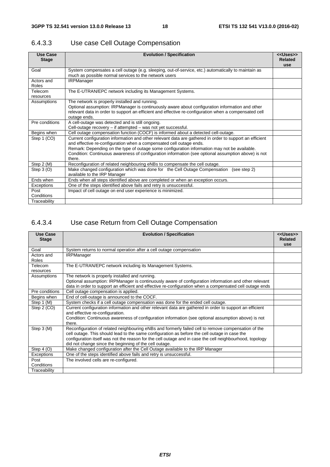| <b>Use Case</b><br><b>Stage</b> | <b>Evolution / Specification</b>                                                                                                                                                                                                                                                                                                                                                                | < <uses>&gt;<br/><b>Related</b><br/><b>use</b></uses> |  |  |  |  |
|---------------------------------|-------------------------------------------------------------------------------------------------------------------------------------------------------------------------------------------------------------------------------------------------------------------------------------------------------------------------------------------------------------------------------------------------|-------------------------------------------------------|--|--|--|--|
| Goal                            | System compensates a cell outage (e.g. sleeping, out-of-service, etc.) automatically to maintain as<br>much as possible normal services to the network users                                                                                                                                                                                                                                    |                                                       |  |  |  |  |
| Actors and<br>Roles             | <b>IRPManager</b>                                                                                                                                                                                                                                                                                                                                                                               |                                                       |  |  |  |  |
| Telecom<br>resources            | The E-UTRAN/EPC network including its Management Systems.                                                                                                                                                                                                                                                                                                                                       |                                                       |  |  |  |  |
| Assumptions                     | The network is properly installed and running.<br>Optional assumption: IRPManager is continuously aware about configuration information and other<br>relevant data in order to support an efficient and effective re-configuration when a compensated cell<br>outage ends.                                                                                                                      |                                                       |  |  |  |  |
| Pre conditions                  | A cell-outage was detected and is still ongoing.<br>Cell-outage recovery - if attempted - was not yet successful.                                                                                                                                                                                                                                                                               |                                                       |  |  |  |  |
| Begins when                     | Cell outage compensation function (COCF) is informed about a detected cell-outage.                                                                                                                                                                                                                                                                                                              |                                                       |  |  |  |  |
| Step 1 (CO)                     | Current configuration information and other relevant data are gathered in order to support an efficient<br>and effective re-configuration when a compensated cell outage ends.<br>Remark: Depending on the type of outage some configuration information may not be available.<br>Condition: Continuous awareness of configuration information (see optional assumption above) is not<br>there. |                                                       |  |  |  |  |
| Step $2(N)$                     | Reconfiguration of related neighbouring eNBs to compensate the cell outage.                                                                                                                                                                                                                                                                                                                     |                                                       |  |  |  |  |
| Step $3(0)$                     | Make changed configuration which was done for the Cell Outage Compensation<br>(see step 2)<br>available to the IRP Manager                                                                                                                                                                                                                                                                      |                                                       |  |  |  |  |
| Ends when                       | Ends when all steps identified above are completed or when an exception occurs.                                                                                                                                                                                                                                                                                                                 |                                                       |  |  |  |  |
| Exceptions                      | One of the steps identified above fails and retry is unsuccessful.                                                                                                                                                                                                                                                                                                                              |                                                       |  |  |  |  |
| Post<br>Conditions              | Impact of cell outage on end user experience is minimized.                                                                                                                                                                                                                                                                                                                                      |                                                       |  |  |  |  |
| Traceability                    |                                                                                                                                                                                                                                                                                                                                                                                                 |                                                       |  |  |  |  |

### 6.4.3.3 Use case Cell Outage Compensation

### 6.4.3.4 Use case Return from Cell Outage Compensation

| Use Case             | <b>Evolution / Specification</b>                                                                         | < <uses>&gt;<br/><b>Related</b></uses> |
|----------------------|----------------------------------------------------------------------------------------------------------|----------------------------------------|
| <b>Stage</b>         |                                                                                                          | use                                    |
| Goal                 | System returns to normal operation after a cell outage compensation                                      |                                        |
| Actors and           | <b>IRPManager</b>                                                                                        |                                        |
| Roles                |                                                                                                          |                                        |
| Telecom<br>resources | The E-UTRAN/EPC network including its Management Systems.                                                |                                        |
| Assumptions          | The network is properly installed and running.                                                           |                                        |
|                      | Optional assumption: IRPManager is continuously aware of configuration information and other relevant    |                                        |
|                      | data in order to support an efficient and effective re-configuration when a compensated cell outage ends |                                        |
| Pre conditions       | Cell outage compensation is applied.                                                                     |                                        |
| Begins when          | End of cell-outage is announced to the COCF.                                                             |                                        |
| Step 1 (M)           | System checks if a cell outage compensation was done for the ended cell outage.                          |                                        |
| Step 2 (CO)          | Current configuration information and other relevant data are gathered in order to support an efficient  |                                        |
|                      | and effective re-configuration.                                                                          |                                        |
|                      | Condition: Continuous awareness of configuration information (see optional assumption above) is not      |                                        |
|                      | there.                                                                                                   |                                        |
| Step 3 (M)           | Reconfiguration of related neighbouring eNBs and formerly failed cell to remove compensation of the      |                                        |
|                      | cell outage. This should lead to the same configuration as before the cell outage in case the            |                                        |
|                      | configuration itself was not the reason for the cell outage and in case the cell neighbourhood, topology |                                        |
|                      | did not change since the beginning of the cell outage.                                                   |                                        |
| Step $4(0)$          | Make changed configuration after the Cell Outage available to the IRP Manager                            |                                        |
| Exceptions           | One of the steps identified above fails and retry is unsuccessful.                                       |                                        |
| Post                 | The involved cells are re-configured.                                                                    |                                        |
| Conditions           |                                                                                                          |                                        |
| Traceability         |                                                                                                          |                                        |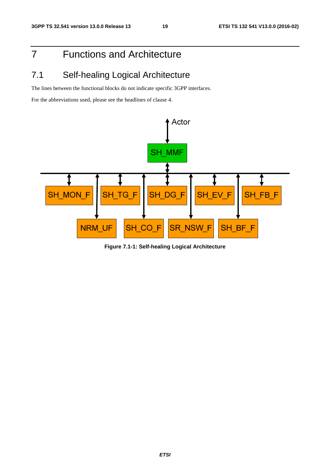# 7 Functions and Architecture

# 7.1 Self-healing Logical Architecture

The lines between the functional blocks do not indicate specific 3GPP interfaces.

For the abbreviations used, please see the headlines of clause 4.



**Figure 7.1-1: Self-healing Logical Architecture**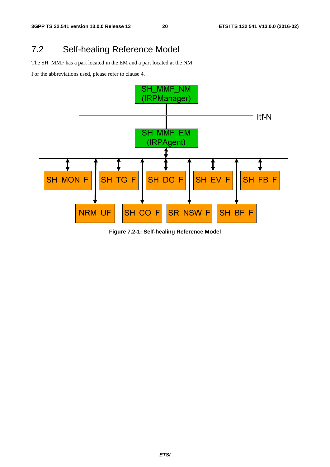# 7.2 Self-healing Reference Model

The SH\_MMF has a part located in the EM and a part located at the NM.

For the abbreviations used, please refer to clause 4.



**Figure 7.2-1: Self-healing Reference Model**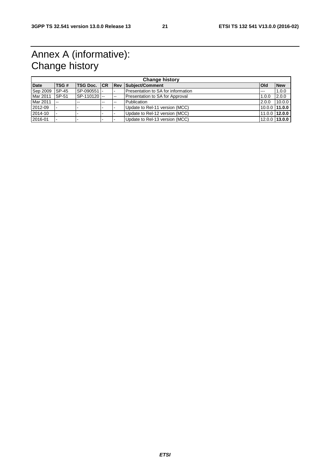# Annex A (informative): Change history

|             | <b>Change history</b> |             |                          |                          |                                    |              |               |
|-------------|-----------------------|-------------|--------------------------|--------------------------|------------------------------------|--------------|---------------|
| <b>Date</b> | <b>TSG#</b>           |             |                          |                          | TSG Doc. CR Rev Subject/Comment    | <b>l</b> Old | <b>New</b>    |
| Sep 2009    | $ISP-45$              | SP-090551 - |                          |                          | Presentation to SA for information | $- - -$      | 1.0.0         |
| Mar 2011    | SP-51                 | SP-110120 - |                          | $\overline{\phantom{m}}$ | Presentation to SA for Approval    | 1.0.0        | 2.0.0         |
| Mar 2011    | $-$                   | $-$         | $\overline{\phantom{a}}$ | $\sim$                   | Publication                        | 2.0.0        | 10.0.0        |
| 2012-09     |                       |             |                          |                          | Update to Rel-11 version (MCC)     |              | 10.0.0 11.0.0 |
| 2014-10     |                       |             |                          |                          | Update to Rel-12 version (MCC)     |              | 11.0.0 12.0.0 |
| 2016-01     |                       |             |                          |                          | Update to Rel-13 version (MCC)     |              | 12.0.0 13.0.0 |